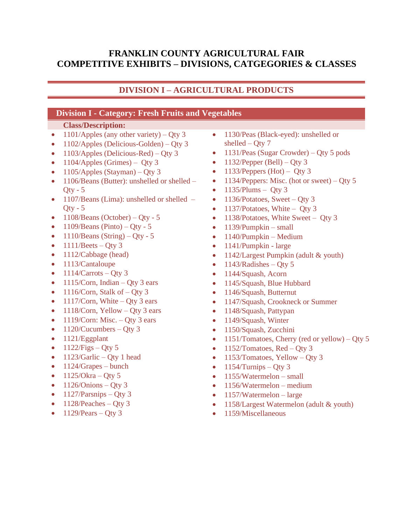## **FRANKLIN COUNTY AGRICULTURAL FAIR COMPETITIVE EXHIBITS – DIVISIONS, CATGEGORIES & CLASSES**

# **DIVISION I – AGRICULTURAL PRODUCTS**

#### **Division I - Category: Fresh Fruits and Vegetables**

- 1101/Apples (any other variety) Qty 3
- 1102/Apples (Delicious-Golden) Qty 3
- 1103/Apples (Delicious-Red) Qty 3
- $1104$ /Apples (Grimes) Qty 3
- $1105$ /Apples (Stayman) Qty 3
- 1106/Beans (Butter): unshelled or shelled  $Qty - 5$
- 1107/Beans (Lima): unshelled or shelled  $Qty - 5$
- $1108$ /Beans (October) Qty 5
- $1109/Beans$  (Pinto) Qty 5
- $1110/Beans (String) Qty 5$
- $1111/Beets Qty3$
- 1112/Cabbage (head)
- 1113/Cantaloupe
- $1114$ /Carrots Qty 3
- 1115/Corn, Indian Qty 3 ears
- 1116/Corn, Stalk of  $-$  Qty 3
- 1117/Corn, White Qty 3 ears
- 1118/Corn, Yellow Qty 3 ears
- 1119/Corn: Misc. Qty 3 ears
- $1120/Cucumbers Qty 3$
- 1121/Eggplant
- $1122/Figs Qty 5$
- $1123/Garlic Qty 1 head$
- $\bullet$  1124/Grapes bunch
- $1125/O$ kra Qty 5
- $\bullet$  1126/Onions Qty 3
- $1127/Parsnips Oty 3$
- $1128/Peaches Oty 3$
- $1129$ /Pears Qty 3
- 1130/Peas (Black-eyed): unshelled or shelled – Oty  $7$
- 1131/Peas (Sugar Crowder) Qty 5 pods
- $1132$ /Pepper (Bell) Qty 3
- 1133/Peppers (Hot) Qty 3
- 1134/Peppers: Misc. (hot or sweet) Qty 5
- $\bullet$  1135/Plums Qty 3
- 1136/Potatoes, Sweet Qty 3
- 1137/Potatoes, White Qty 3
- 1138/Potatoes, White Sweet Qty 3
- $\bullet$  1139/Pumpkin small
- $\bullet$  1140/Pumpkin Medium
- 1141/Pumpkin large
- 1142/Largest Pumpkin (adult & youth)
- $1143/Radishes Oty 5$
- 1144/Squash, Acorn
- 1145/Squash, Blue Hubbard
- 1146/Squash, Butternut
- 1147/Squash, Crookneck or Summer
- 1148/Squash, Pattypan
- 1149/Squash, Winter
- 1150/Squash, Zucchini
- 1151/Tomatoes, Cherry (red or yellow) Qty 5
- 1152/Tomatoes,  $Red Qty$  3
- 1153/Tomatoes, Yellow Qty 3
- $1154$ /Turnips Qty 3
- 1155/Watermelon small
- 1156/Watermelon medium
- 1157/Watermelon large
- 1158/Largest Watermelon (adult & youth)
- 1159/Miscellaneous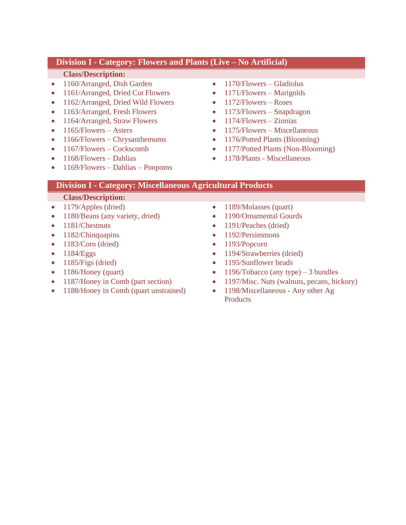## **Division I - Category: Flowers and Plants (Live – No Artificial)**

#### **Class/Description:**

- 1160/Arranged, Dish Garden
- 1161/Arranged, Dried Cut Flowers
- 1162/Arranged, Dried Wild Flowers
- 1163/Arranged, Fresh Flowers
- 1164/Arranged, Straw Flowers
- $1165$ /Flowers Asters
- 1166/Flowers Chrysanthemums
- 1167/Flowers Cockscomb
- 1168/Flowers Dahlias
- 1169/Flowers Dahlias Ponpoms
- 1170/Flowers Gladiolus
- 1171/Flowers Marigolds
- $\bullet$  1172/Flowers Roses
- 1173/Flowers Snapdragon
- $\bullet$  1174/Flowers Zinnias
- $\bullet$  1175/Flowers Miscellaneous
- 1176/Potted Plants (Blooming)
- 1177/Potted Plants (Non-Blooming)
- 1178/Plants Miscellaneous

# **Division I - Category: Miscellaneous Agricultural Products**

- 1179/Apples (dried)
- 1180/Beans (any variety, dried)
- 1181/Chestnuts
- 1182/Chinquapins
- 1183/Corn (dried)
- $\bullet$  1184/Eggs
- $1185/Figs$  (dried)
- 1186/Honey (quart)
- 1187/Honey in Comb (part section)
- 1188/Honey in Comb (quart unstrained)
- 1189/Molasses (quart)
- 1190/Ornamental Gourds
- 1191/Peaches (dried)
- 1192/Persimmons
- 1193/Popcorn
- 1194/Strawberries (dried)
- 1195/Sunflower heads
- 1196/Tobacco (any type) 3 bundles
- 1197/Misc. Nuts (walnuts, pecans, hickory)
- 1198/Miscellaneous Any other Ag **Products**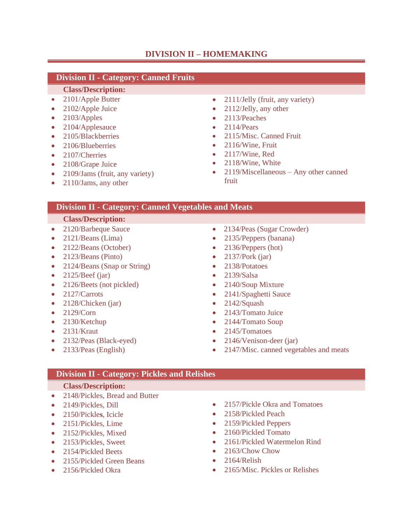# **DIVISION II – HOMEMAKING**

## **Division II - Category: Canned Fruits**

#### **Class/Description:**

- 2101/Apple Butter
- 2102/Apple Juice
- 2103/Apples
- 2104/Applesauce
- 2105/Blackberries
- 2106/Blueberries
- 2107/Cherries
- 2108/Grape Juice
- 2109/Jams (fruit, any variety)
- 2110/Jams, any other
- 2111/Jelly (fruit, any variety)
- 2112/Jelly, any other
- 2113/Peaches
- $\bullet$  2114/Pears
- 2115/Misc. Canned Fruit
- 2116/Wine, Fruit
- 2117/Wine, Red
- 2118/Wine, White
- 2119/Miscellaneous Any other canned fruit

### **Division II - Category: Canned Vegetables and Meats**

#### **Class/Description:**

- 2120/Barbeque Sauce
- 2121/Beans (Lima)
- 2122/Beans (October)
- 2123/Beans (Pinto)
- 2124/Beans (Snap or String)
- $2125/Beef$  (jar)
- 2126/Beets (not pickled)
- 2127/Carrots
- 2128/Chicken (jar)
- 2129/Corn
- 2130/Ketchup
- $\bullet$  2131/Kraut
- 2132/Peas (Black-eyed)
- 2133/Peas (English)
- 2134/Peas (Sugar Crowder)
- 2135/Peppers (banana)
- 2136/Peppers (hot)
- $2137/Pork (iar)$
- 2138/Potatoes
- 2139/Salsa
- 2140/Soup Mixture
- 2141/Spaghetti Sauce
- 2142/Squash
- 2143/Tomato Juice
- 2144/Tomato Soup
- 2145/Tomatoes
- 2146/Venison-deer (jar)
- 2147/Misc. canned vegetables and meats

#### **Division II - Category: Pickles and Relishes**

- 2148/Pickles, Bread and Butter
- 2149/Pickles, Dill
- 2150/Pickle**s**, Icicle
- 2151/Pickles, Lime
- 2152/Pickles, Mixed
- 2153/Pickles, Sweet
- 2154/Pickled Beets
- 2155/Pickled Green Beans
- 2156/Pickled Okra
- 2157/Pickle Okra and Tomatoes
- 2158/Pickled Peach
- 2159/Pickled Peppers
- 2160/Pickled Tomato
- 2161/Pickled Watermelon Rind
- 2163/Chow Chow
- $\bullet$  2164/Relish
- 2165/Misc. Pickles or Relishes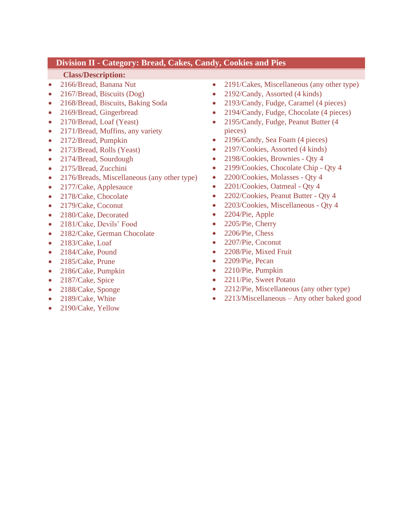## **Division II - Category: Bread, Cakes, Candy, Cookies and Pies**

- 2166/Bread, Banana Nut
- 2167/Bread, Biscuits (Dog)
- 2168/Bread, Biscuits, Baking Soda
- 2169/Bread, Gingerbread
- 2170/Bread, Loaf (Yeast)
- 2171/Bread, Muffins, any variety
- 2172/Bread, Pumpkin
- 2173/Bread, Rolls (Yeast)
- 2174/Bread, Sourdough
- 2175/Bread, Zucchini
- 2176/Breads, Miscellaneous (any other type)
- 2177/Cake, Applesauce
- 2178/Cake, Chocolate
- 2179/Cake, Coconut
- 2180/Cake, Decorated
- 2181/Cake, Devils' Food
- 2182/Cake, German Chocolate
- 2183/Cake, Loaf
- 2184/Cake, Pound
- 2185/Cake, Prune
- 2186/Cake, Pumpkin
- 2187/Cake, Spice
- 2188/Cake, Sponge
- 2189/Cake, White
- 2190/Cake, Yellow
- 2191/Cakes, Miscellaneous (any other type)
- 2192/Candy, Assorted (4 kinds)
- 2193/Candy, Fudge, Caramel (4 pieces)
- 2194/Candy, Fudge, Chocolate (4 pieces)
- 2195/Candy, Fudge, Peanut Butter (4 pieces)
- 2196/Candy, Sea Foam (4 pieces)
- 2197/Cookies, Assorted (4 kinds)
- 2198/Cookies, Brownies Qty 4
- 2199/Cookies, Chocolate Chip Qty 4
- 2200/Cookies, Molasses Qty 4
- 2201/Cookies, Oatmeal Qty 4
- 2202/Cookies, Peanut Butter Qty 4
- 2203/Cookies, Miscellaneous Qty 4
- 2204/Pie, Apple
- 2205/Pie, Cherry
- 2206/Pie, Chess
- 2207/Pie, Coconut
- 2208/Pie, Mixed Fruit
- 2209/Pie, Pecan
- 2210/Pie, Pumpkin
- 2211/Pie, Sweet Potato
- 2212/Pie, Miscellaneous (any other type)
- 2213/Miscellaneous Any other baked good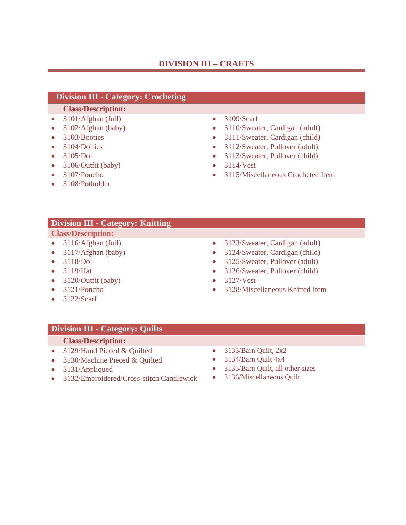## **DIVISION III – CRAFTS**

### **Division III - Category: Crocheting**

#### **Class/Description:**

- 3101/Afghan (full)
- 3102/Afghan (baby)
- 3103/Booties
- 3104/Doilies
- 3105/Doll
- 3106/Outfit (baby)
- 3107/Poncho
- 3108/Potholder
- 3109/Scarf
- 3110/Sweater, Cardigan (adult)
- 3111/Sweater, Cardigan (child)
- 3112/Sweater, Pullover (adult)
- 3113/Sweater, Pullover (child)
- 3114/Vest
- 3115/Miscellaneous Crocheted Item

## **Division III - Category: Knitting**

## **Class/Description:**

- 3116/Afghan (full)
- 3117/Afghan (baby)
- 3118/Doll
- 3119/Hat
- 3120/Outfit (baby)
- 3121/Poncho
- 3122/Scarf
- 3123/Sweater, Cardigan (adult)
- 3124/Sweater, Cardigan (child)
- 3125/Sweater, Pullover (adult)
- 3126/Sweater, Pullover (child)
- 3127/Vest
- 3128/Miscellaneous Knitted Item

## **Division III** - **Category: Quilts**

- 3129/Hand Pieced & Quilted
- 3130/Machine Pieced & Quilted
- 3131/Appliqued
- 3132/Embroidered/Cross-stitch Candlewick
- 3133/Barn Quilt, 2x2
- 3134/Barn Quilt 4x4
- 3135/Barn Quilt, all other sizes
- 3136/Miscellaneous Quilt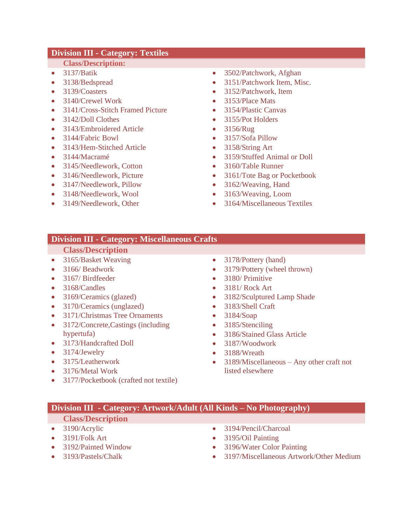## **Division III - Category: Textiles**

#### **Class/Description:**

- 3137/Batik
- 3138/Bedspread
- 3139/Coasters
- 3140/Crewel Work
- 3141/Cross-Stitch Framed Picture
- 3142/Doll Clothes
- 3143/Embroidered Article
- 3144/Fabric Bowl
- 3143/Hem-Stitched Article
- 3144/Macramé
- 3145/Needlework, Cotton
- 3146/Needlework, Picture
- 3147/Needlework, Pillow
- 3148/Needlework, Wool
- 3149/Needlework, Other
- 3502/Patchwork, Afghan
- 3151/Patchwork Item, Misc.
- 3152/Patchwork, Item
- 3153/Place Mats
- 3154/Plastic Canvas
- 3155/Pot Holders
- 3156/Rug
- 3157/Sofa Pillow
- 3158/String Art
- 3159/Stuffed Animal or Doll
- 3160/Table Runner
- 3161/Tote Bag or Pocketbook
- 3162/Weaving, Hand
- 3163/Weaving, Loom
- 3164/Miscellaneous Textiles

## **Division III - Category: Miscellaneous Crafts**

#### **Class/Description**

- 3165/Basket Weaving
- 3166/ Beadwork
- 3167/ Birdfeeder
- 3168/Candles
- 3169/Ceramics (glazed)
- 3170/Ceramics (unglazed)
- 3171/Christmas Tree Ornaments
- 3172/Concrete,Castings (including hypertufa)
- 3173/Handcrafted Doll
- 3174/Jewelry
- 3175/Leatherwork
- 3176/Metal Work
- 3177/Pocketbook (crafted not textile)
- 3178/Pottery (hand)
- 3179/Pottery (wheel thrown)
- 3180/ Primitive
- 3181/ Rock Art
- 3182/Sculptured Lamp Shade
- 3183/Shell Craft
- 3184/Soap
- 3185/Stenciling
- 3186/Stained Glass Article
- 3187/Woodwork
- 3188/Wreath
- 3189/Miscellaneous Any other craft not listed elsewhere

## **Division III - Category: Artwork/Adult (All Kinds – No Photography)**

- 3190/Acrylic
- 3191/Folk Art
- 3192/Painted Window
- 3193/Pastels/Chalk
- 3194/Pencil/Charcoal
- 3195/Oil Painting
- 3196/Water Color Painting
- 3197/Miscellaneous Artwork/Other Medium